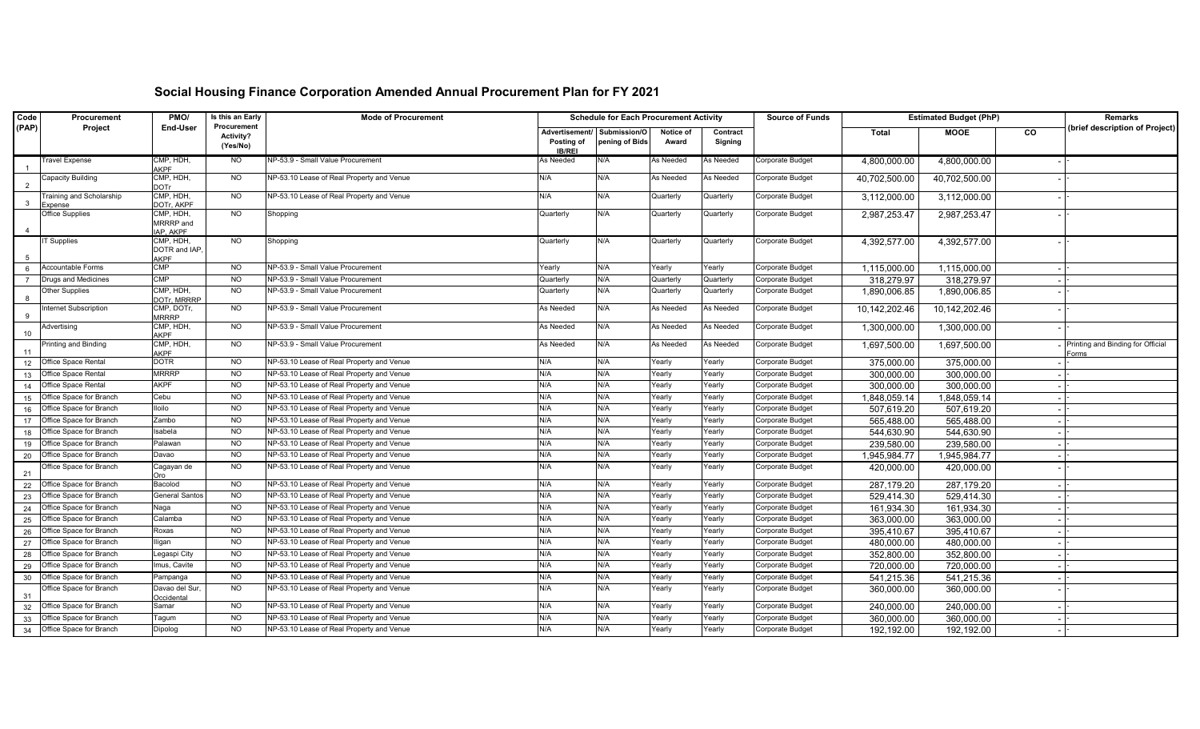## **Social Housing Finance Corporation Amended Annual Procurement Plan for FY 2021**

| Code  | Procurement                       | PMO/                                     | Is this an Early                            | <b>Mode of Procurement</b>                |                              | <b>Schedule for Each Procurement Activity</b> |                    |                     |                  | <b>Estimated Budget (PhP)</b> |               |    | <b>Remarks</b>                             |
|-------|-----------------------------------|------------------------------------------|---------------------------------------------|-------------------------------------------|------------------------------|-----------------------------------------------|--------------------|---------------------|------------------|-------------------------------|---------------|----|--------------------------------------------|
| (PAP) | Project                           | <b>End-User</b>                          | Procurement<br><b>Activity?</b><br>(Yes/No) |                                           | Advertisement/<br>Posting of | Submission/O<br>pening of Bids                | Notice of<br>Award | Contract<br>Signing |                  | <b>Total</b>                  | <b>MOOE</b>   | CO | (brief description of Project)             |
|       | <b>Travel Expense</b>             | CMP, HDH,                                | NO.                                         | NP-53.9 - Small Value Procurement         | <b>IB/REI</b><br>As Needed   | N/A                                           | <b>As Needed</b>   | As Needed           | Corporate Budget | 4,800,000.00                  | 4,800,000.00  |    |                                            |
|       | Capacity Building                 | <b>AKPF</b><br>CMP, HDH,                 | <b>NO</b>                                   | NP-53.10 Lease of Real Property and Venue | N/A                          | N/A                                           | As Needed          | As Needed           | Corporate Budget | 40,702,500.00                 | 40,702,500.00 |    |                                            |
| - 3   | Training and Scholarship          | <b>DOTr</b><br>CMP, HDH,                 | <b>NO</b>                                   | NP-53.10 Lease of Real Property and Venue | N/A                          | N/A                                           | Quarterly          | Quarterly           | Corporate Budget | 3,112,000.00                  | 3,112,000.00  |    |                                            |
|       | Expense<br><b>Office Supplies</b> | DOTr, AKPF<br>CMP, HDH,                  | <b>NO</b>                                   | Shopping                                  | Quarterly                    | N/A                                           | Quarterly          | Quarterly           | Corporate Budget | 2,987,253.47                  | 2,987,253.47  |    |                                            |
|       |                                   | MRRRP and<br>IAP, AKPF                   |                                             |                                           |                              |                                               |                    |                     |                  |                               |               |    |                                            |
|       | <b>IT Supplies</b>                | CMP, HDH,<br>DOTR and IAP<br><b>AKPF</b> | <b>NO</b>                                   | Shopping                                  | Quarterly                    | N/A                                           | Quarterly          | Quarterly           | Corporate Budget | 4,392,577.00                  | 4,392,577.00  |    |                                            |
|       | Accountable Forms                 | <b>CMP</b>                               | <b>NO</b>                                   | NP-53.9 - Small Value Procurement         | Yearly                       | N/A                                           | Yearly             | Yearly              | Corporate Budget | 1,115,000.00                  | 1,115,000.00  |    |                                            |
|       | Drugs and Medicines               | <b>CMP</b>                               | <b>NO</b>                                   | NP-53.9 - Small Value Procurement         | Quarterly                    | N/A                                           | Quarterly          | Quarterly           | Corporate Budget | 318,279.97                    | 318,279.97    |    |                                            |
| - 8   | <b>Other Supplies</b>             | CMP, HDH,<br>DOTr, MRRRP                 | <b>NO</b>                                   | NP-53.9 - Small Value Procurement         | Quarterly                    | N/A                                           | Quarterly          | Quarterly           | Corporate Budget | 1,890,006.85                  | 1,890,006.85  |    |                                            |
| - 9   | Internet Subscription             | CMP, DOTr,<br><b>MRRRP</b>               | <b>NO</b>                                   | NP-53.9 - Small Value Procurement         | As Needed                    | N/A                                           | As Needed          | As Needed           | Corporate Budget | 10,142,202.46                 | 10,142,202.46 |    |                                            |
| 10    | Advertising                       | CMP, HDH,<br><b>AKPF</b>                 | <b>NO</b>                                   | NP-53.9 - Small Value Procurement         | As Needed                    | N/A                                           | As Needed          | As Needed           | Corporate Budget | 1,300,000.00                  | 1,300,000.00  |    |                                            |
| 11    | Printing and Binding              | CMP, HDH,<br><b>AKPF</b>                 | <b>NO</b>                                   | NP-53.9 - Small Value Procurement         | As Needed                    | N/A                                           | As Needed          | As Needed           | Corporate Budget | 1,697,500.00                  | 1,697,500.00  |    | Printing and Binding for Official<br>Forms |
| 12    | Office Space Rental               | <b>DOTR</b>                              | <b>NO</b>                                   | NP-53.10 Lease of Real Property and Venue | N/A                          | N/A                                           | Yearly             | Yearly              | Corporate Budget | 375,000.00                    | 375,000.00    |    |                                            |
| 13    | Office Space Rental               | <b>MRRRP</b>                             | <b>NO</b>                                   | NP-53.10 Lease of Real Property and Venue | N/A                          | N/A                                           | Yearly             | Yearly              | Corporate Budget | 300,000.00                    | 300,000.00    |    |                                            |
| 14    | Office Space Rental               | <b>AKPF</b>                              | <b>NO</b>                                   | NP-53.10 Lease of Real Property and Venue | N/A                          | N/A                                           | Yearly             | Yearly              | Corporate Budget | 300,000.00                    | 300,000.00    |    |                                            |
| 15    | Office Space for Branch           | Cebu                                     | <b>NO</b>                                   | NP-53.10 Lease of Real Property and Venue | N/A                          | N/A                                           | Yearly             | Yearly              | Corporate Budget | 1,848,059.14                  | 848,059.14    |    |                                            |
| 16    | Office Space for Branch           | lloilo                                   | <b>NO</b>                                   | NP-53.10 Lease of Real Property and Venue | N/A                          | N/A                                           | Yearly             | Yearly              | Corporate Budget | 507,619.20                    | 507,619.20    |    |                                            |
| 17    | Office Space for Branch           | Zambo                                    | <b>NO</b>                                   | NP-53.10 Lease of Real Property and Venue | N/A                          | N/A                                           | Yearly             | Yearly              | Corporate Budget | 565,488.00                    | 565,488.00    |    |                                            |
| 18    | Office Space for Branch           | Isabela                                  | <b>NO</b>                                   | NP-53.10 Lease of Real Property and Venue | N/A                          | N/A                                           | Yearly             | Yearly              | Corporate Budget | 544,630.90                    | 544,630.90    |    |                                            |
| 19    | Office Space for Branch           | Palawan                                  | <b>NO</b>                                   | NP-53.10 Lease of Real Property and Venue | N/A                          | N/A                                           | Yearly             | Yearly              | Corporate Budget | 239,580.00                    | 239,580.00    |    |                                            |
| 20    | Office Space for Branch           | Davao                                    | <b>NO</b>                                   | NP-53.10 Lease of Real Property and Venue | N/A                          | N/A                                           | Yearly             | Yearly              | Corporate Budget | 1,945,984.77                  | 1,945,984.77  |    |                                            |
| 21    | Office Space for Branch           | Cagayan de<br>Oro                        | <b>NO</b>                                   | NP-53.10 Lease of Real Property and Venue | N/A                          | N/A                                           | Yearly             | Yearly              | Corporate Budget | 420,000.00                    | 420,000.00    |    |                                            |
| 22    | Office Space for Branch           | Bacolod                                  | NO.                                         | NP-53.10 Lease of Real Property and Venue | N/A                          | N/A                                           | Yearly             | Yearly              | Corporate Budget | 287,179.20                    | 287,179.20    |    |                                            |
| 23    | Office Space for Branch           | <b>General Santos</b>                    | <b>NO</b>                                   | NP-53.10 Lease of Real Property and Venue | N/A                          | N/A                                           | Yearly             | Yearly              | Corporate Budget | 529,414.30                    | 529,414.30    |    |                                            |
| 24    | <b>Office Space for Branch</b>    | Naga                                     | NO                                          | NP-53.10 Lease of Real Property and Venue | N/A                          | N/A                                           | Yearly             | Yearly              | Corporate Budget | 161,934.30                    | 161,934.30    |    |                                            |
| 25    | Office Space for Branch           | Calamba                                  | NO.                                         | NP-53.10 Lease of Real Property and Venue | N/A                          | N/A                                           | Yearly             | Yearly              | Corporate Budget | 363,000.00                    | 363,000.00    |    |                                            |
| 26    | Office Space for Branch           | Roxas                                    | <b>NO</b>                                   | NP-53.10 Lease of Real Property and Venue | N/A                          | N/A                                           | Yearly             | Yearly              | Corporate Budget | 395,410.67                    | 395,410.67    |    |                                            |
|       | 27 Office Space for Branch        | Iligan                                   | <b>NO</b>                                   | NP-53.10 Lease of Real Property and Venue | N/A                          | N/A                                           | Yearly             | Yearly              | Corporate Budget | 480,000.00                    | 480,000.00    |    |                                            |
|       | 28 Office Space for Branch        | Legaspi City                             | <b>NO</b>                                   | NP-53.10 Lease of Real Property and Venue | N/A                          | N/A                                           | Yearly             | Yearly              | Corporate Budget | 352,800.00                    | 352,800.00    |    |                                            |
| 29    | Office Space for Branch           | Imus, Cavite                             | NO.                                         | NP-53.10 Lease of Real Property and Venue | N/A                          | N/A                                           | Yearly             | Yearly              | Corporate Budget | 720,000.00                    | 720,000.00    |    |                                            |
| 30    | Office Space for Branch           | Pampanga                                 | <b>NO</b>                                   | NP-53.10 Lease of Real Property and Venue | N/A                          | N/A                                           | Yearly             | Yearly              | Corporate Budget | 541,215.36                    | 541,215.36    |    |                                            |
| 31    | Office Space for Branch           | Davao del Sur,<br>Occidental             | <b>NO</b>                                   | NP-53.10 Lease of Real Property and Venue | N/A                          | N/A                                           | Yearly             | Yearly              | Corporate Budget | 360,000.00                    | 360,000.00    |    |                                            |
|       | 32 Office Space for Branch        | Samar                                    | <b>NO</b>                                   | NP-53.10 Lease of Real Property and Venue | N/A                          | N/A                                           | Yearly             | Yearly              | Corporate Budget | 240,000.00                    | 240,000.00    |    |                                            |
| 33    | Office Space for Branch           | Tagum                                    | <b>NO</b>                                   | NP-53.10 Lease of Real Property and Venue | N/A                          | N/A                                           | Yearly             | Yearly              | Corporate Budget | 360,000.00                    | 360,000.00    |    |                                            |
| 34    | Office Space for Branch           | Dipolog                                  | NO.                                         | NP-53.10 Lease of Real Property and Venue | N/A                          | N/A                                           | Yearly             | Yearly              | Corporate Budget | 192,192.00                    | 192,192.00    |    |                                            |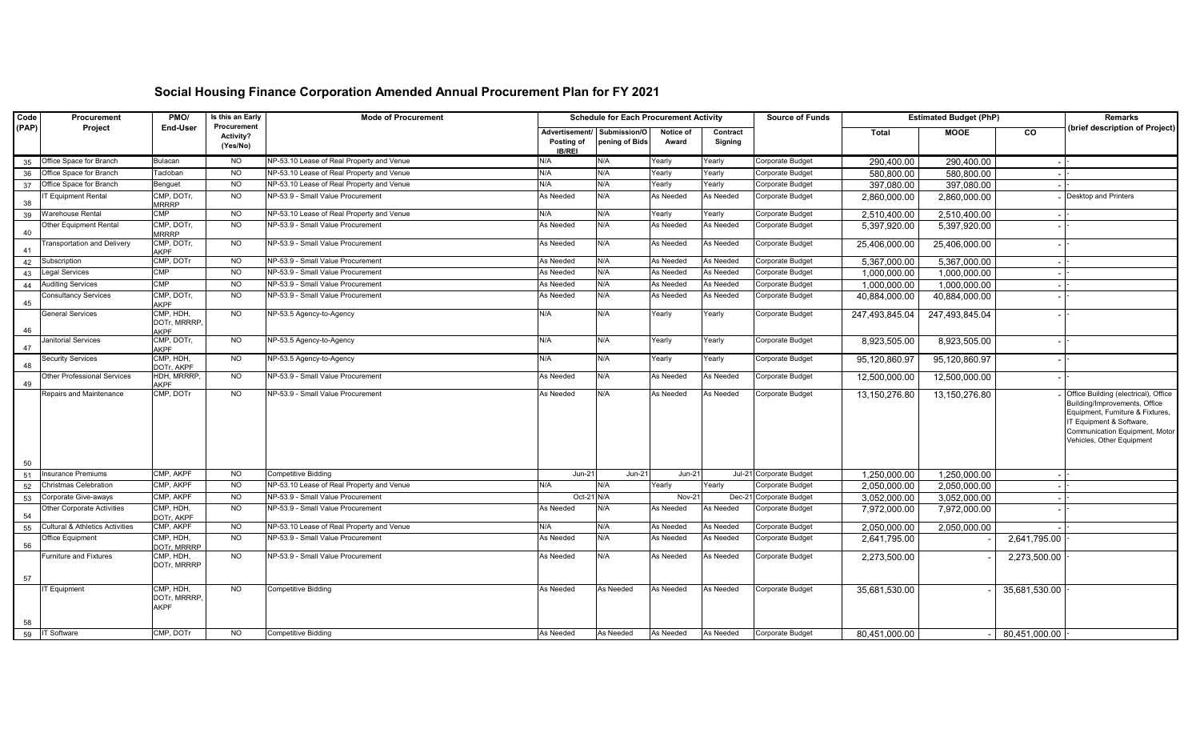## **Social Housing Finance Corporation Amended Annual Procurement Plan for FY 2021**

| Code  | Procurement                                | PMO/                                     | Is this an Early                                   | <b>Mode of Procurement</b>                |                                               |                                | <b>Schedule for Each Procurement Activity</b> |                     | <b>Source of Funds</b>  | <b>Estimated Budget (PhP)</b> |                |               | <b>Remarks</b>                                                                                                                                                                                       |
|-------|--------------------------------------------|------------------------------------------|----------------------------------------------------|-------------------------------------------|-----------------------------------------------|--------------------------------|-----------------------------------------------|---------------------|-------------------------|-------------------------------|----------------|---------------|------------------------------------------------------------------------------------------------------------------------------------------------------------------------------------------------------|
| (PAP) | Project                                    | <b>End-User</b>                          | <b>Procurement</b><br><b>Activity?</b><br>(Yes/No) |                                           | Advertisement/<br>Posting of<br><b>IB/REI</b> | Submission/O<br>pening of Bids | Notice of<br>Award                            | Contract<br>Signing |                         | <b>Total</b>                  | <b>MOOE</b>    | CO            | (brief description of Project)                                                                                                                                                                       |
| 35    | Office Space for Branch                    | <b>Bulacan</b>                           | <b>NO</b>                                          | NP-53.10 Lease of Real Property and Venue | N/A                                           | N/A                            | Yearly                                        | Yearly              | Corporate Budget        | 290,400.00                    | 290,400.00     |               |                                                                                                                                                                                                      |
| 36    | Office Space for Branch                    | Tacloban                                 | <b>NO</b>                                          | NP-53.10 Lease of Real Property and Venue | N/A                                           | N/A                            | Yearly                                        | Yearly              | Corporate Budget        | 580,800.00                    | 580,800.00     |               |                                                                                                                                                                                                      |
|       | 37 Office Space for Branch                 | Benguet                                  | <b>NO</b>                                          | NP-53.10 Lease of Real Property and Venue | N/A                                           | N/A                            | Yearly                                        | Yearly              | Corporate Budget        | 397,080.00                    | 397,080.00     |               |                                                                                                                                                                                                      |
| 38    | <b>T Equipment Rental</b>                  | CMP, DOTr,<br><b>MRRRP</b>               | <b>NO</b>                                          | NP-53.9 - Small Value Procurement         | As Needed                                     | N/A                            | As Needed                                     | As Needed           | Corporate Budget        | 2,860,000.00                  | 2,860,000.00   |               | Desktop and Printers                                                                                                                                                                                 |
| 39    | Warehouse Rental                           | <b>CMP</b>                               | <b>NO</b>                                          | NP-53.10 Lease of Real Property and Venue | N/A                                           | N/A                            | Yearly                                        | Yearly              | Corporate Budget        | 2,510,400.00                  | 2,510,400.00   |               |                                                                                                                                                                                                      |
| 40    | Other Equipment Rental                     | CMP, DOTr,<br><b>MRRRP</b>               | <b>NO</b>                                          | NP-53.9 - Small Value Procurement         | As Needed                                     | N/A                            | As Needed                                     | As Needed           | Corporate Budget        | 5,397,920.00                  | 5,397,920.00   |               |                                                                                                                                                                                                      |
| 41    | <b>Transportation and Delivery</b>         | CMP, DOTr,<br><b>AKPF</b>                | <b>NO</b>                                          | NP-53.9 - Small Value Procurement         | As Needed                                     | N/A                            | As Needed                                     | As Needed           | Corporate Budget        | 25,406,000.00                 | 25,406,000.00  |               |                                                                                                                                                                                                      |
| 42    | Subscription                               | CMP, DOTr                                | <b>NO</b>                                          | NP-53.9 - Small Value Procurement         | As Needed                                     | N/A                            | As Needed                                     | As Needed           | Corporate Budget        | 5,367,000.00                  | 5,367,000.00   |               |                                                                                                                                                                                                      |
| 43    | Legal Services                             | CMP                                      | <b>NO</b>                                          | NP-53.9 - Small Value Procurement         | As Needed                                     | N/A                            | As Needed                                     | As Needed           | Corporate Budget        | 1,000,000.00                  | 1,000,000.00   |               |                                                                                                                                                                                                      |
| 44    | <b>Auditing Services</b>                   | <b>CMP</b>                               | <b>NO</b>                                          | NP-53.9 - Small Value Procurement         | As Needed                                     | N/A                            | As Needed                                     | As Needed           | Corporate Budget        | 1,000,000.00                  | 1,000,000.00   |               |                                                                                                                                                                                                      |
| 45    | <b>Consultancy Services</b>                | CMP, DOTr,<br><b>AKPF</b>                | <b>NO</b>                                          | NP-53.9 - Small Value Procurement         | As Needed                                     | N/A                            | As Needed                                     | As Needed           | Corporate Budget        | 40,884,000.00                 | 40,884,000.00  |               |                                                                                                                                                                                                      |
| 46    | <b>General Services</b>                    | CMP, HDH,<br>DOTr, MRRRP<br><b>AKPF</b>  | <b>NO</b>                                          | NP-53.5 Agency-to-Agency                  | N/A                                           | N/A                            | Yearly                                        | Yearly              | Corporate Budget        | 247,493,845.04                | 247,493,845.04 |               |                                                                                                                                                                                                      |
| 47    | Janitorial Services                        | CMP, DOTr,<br><b>AKPF</b>                | <b>NO</b>                                          | NP-53.5 Agency-to-Agency                  | N/A                                           | N/A                            | Yearly                                        | Yearly              | Corporate Budget        | 8,923,505.00                  | 8,923,505.00   |               |                                                                                                                                                                                                      |
| 48    | <b>Security Services</b>                   | CMP, HDH,<br>DOTr. AKPF                  | <b>NO</b>                                          | NP-53.5 Agency-to-Agency                  | N/A                                           | N/A                            | Yearly                                        | Yearly              | Corporate Budget        | 95,120,860.97                 | 95,120,860.97  |               |                                                                                                                                                                                                      |
| 49    | <b>Other Professional Services</b>         | HDH, MRRRP,<br><b>AKPF</b>               | <b>NO</b>                                          | NP-53.9 - Small Value Procurement         | As Needed                                     | N/A                            | As Needed                                     | As Needed           | Corporate Budget        | 12,500,000.00                 | 12,500,000.00  |               |                                                                                                                                                                                                      |
|       | Repairs and Maintenance                    | CMP, DOTr                                | <b>NO</b>                                          | NP-53.9 - Small Value Procurement         | As Needed                                     | N/A                            | As Needed                                     | As Needed           | Corporate Budget        | 13,150,276.80                 | 13,150,276.80  |               | Office Building (electrical), Office<br>Building/Improvements, Office<br>Equipment, Furniture & Fixtures,<br>IT Equipment & Software,<br>Communication Equipment, Motor<br>Vehicles, Other Equipment |
| 50    |                                            |                                          |                                                    |                                           |                                               |                                |                                               |                     |                         |                               |                |               |                                                                                                                                                                                                      |
| 51    | Insurance Premiums                         | CMP, AKPF                                | <b>NO</b>                                          | Competitive Bidding                       | $Jun-21$                                      | $Jun-21$                       | <b>Jun-21</b>                                 |                     | Jul-21 Corporate Budget | 1,250,000.00                  | 1,250,000.00   |               |                                                                                                                                                                                                      |
| 52    | Christmas Celebration                      | CMP, AKPF                                | <b>NO</b>                                          | NP-53.10 Lease of Real Property and Venue | N/A                                           | N/A                            | Yearly                                        | Yearly              | Corporate Budget        | 2,050,000.00                  | 2,050,000.00   |               |                                                                                                                                                                                                      |
| 53    | Corporate Give-aways                       | CMP, AKPF                                | <b>NO</b>                                          | NP-53.9 - Small Value Procurement         | Oct-21 N/A                                    |                                | Nov-21                                        | Dec-21              | Corporate Budget        | 3,052,000.00                  | 3,052,000.00   |               |                                                                                                                                                                                                      |
| 54    | <b>Other Corporate Activities</b>          | CMP, HDH,<br>DOTr, AKPF                  | <b>NO</b>                                          | NP-53.9 - Small Value Procurement         | As Needed                                     | N/A                            | As Needed                                     | As Needed           | Corporate Budget        | 7,972,000.00                  | 7,972,000.00   |               |                                                                                                                                                                                                      |
| 55    | <b>Cultural &amp; Athletics Activities</b> | CMP, AKPF                                | <b>NO</b>                                          | NP-53.10 Lease of Real Property and Venue | N/A                                           | N/A                            | As Needed                                     | As Needed           | Corporate Budget        | 2,050,000.00                  | 2,050,000.00   |               |                                                                                                                                                                                                      |
| 56    | Office Equipment                           | CMP, HDH,<br><b>DOTr, MRRRP</b>          | <b>NO</b>                                          | NP-53.9 - Small Value Procurement         | As Needed                                     | N/A                            | As Needed                                     | As Needed           | Corporate Budget        | 2,641,795.00                  |                | 2,641,795.00  |                                                                                                                                                                                                      |
| 57    | Furniture and Fixtures                     | CMP, HDH,<br>DOTr, MRRRP                 | <b>NO</b>                                          | NP-53.9 - Small Value Procurement         | As Needed                                     | N/A                            | As Needed                                     | As Needed           | Corporate Budget        | 2,273,500.00                  |                | 2,273,500.00  |                                                                                                                                                                                                      |
|       | <b>IT Equipment</b>                        | CMP, HDH,<br>DOTr, MRRRP,<br><b>AKPF</b> | <b>NO</b>                                          | <b>Competitive Bidding</b>                | As Needed                                     | As Needed                      | As Needed                                     | As Needed           | Corporate Budget        | 35,681,530.00                 |                | 35,681,530.00 |                                                                                                                                                                                                      |
| 58    | <b>IT Software</b>                         | CMP, DOTr                                | <b>NO</b>                                          | Competitive Bidding                       | As Needed                                     | As Needed                      | As Needed                                     | As Needed           | Corporate Budget        |                               |                |               |                                                                                                                                                                                                      |
| 59    |                                            |                                          |                                                    |                                           |                                               |                                |                                               |                     |                         | 80,451,000.00                 |                | 80,451,000.00 |                                                                                                                                                                                                      |